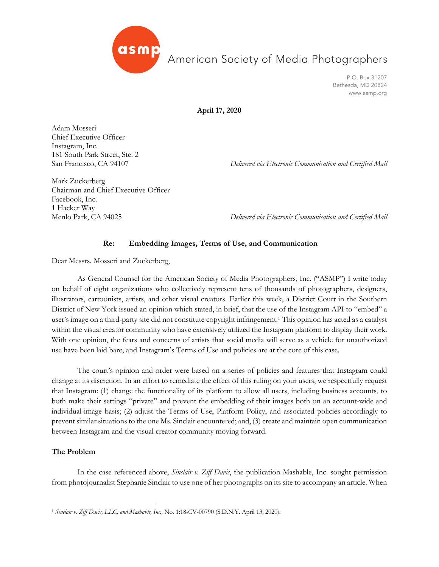

American Society of Media Photographers

P.O. Box 31207 Bethesda, MD 20824 www.asmp.org

**April 17, 2020**

Adam Mosseri Chief Executive Officer Instagram, Inc. 181 South Park Street, Ste. 2

San Francisco, CA 94107 *Delivered via Electronic Communication and Certified Mail*

Mark Zuckerberg Chairman and Chief Executive Officer Facebook, Inc. 1 Hacker Way

Menlo Park, CA 94025 *Delivered via Electronic Communication and Certified Mail*

## **Re: Embedding Images, Terms of Use, and Communication**

Dear Messrs. Mosseri and Zuckerberg,

As General Counsel for the American Society of Media Photographers, Inc. ("ASMP") I write today on behalf of eight organizations who collectively represent tens of thousands of photographers, designers, illustrators, cartoonists, artists, and other visual creators. Earlier this week, a District Court in the Southern District of New York issued an opinion which stated, in brief, that the use of the Instagram API to "embed" a user's image on a third-party site did not constitute copyright infringement.1 This opinion has acted as a catalyst within the visual creator community who have extensively utilized the Instagram platform to display their work. With one opinion, the fears and concerns of artists that social media will serve as a vehicle for unauthorized use have been laid bare, and Instagram's Terms of Use and policies are at the core of this case.

The court's opinion and order were based on a series of policies and features that Instagram could change at its discretion. In an effort to remediate the effect of this ruling on your users, we respectfully request that Instagram: (1) change the functionality of its platform to allow all users, including business accounts, to both make their settings "private" and prevent the embedding of their images both on an account-wide and individual-image basis; (2) adjust the Terms of Use, Platform Policy, and associated policies accordingly to prevent similar situations to the one Ms. Sinclair encountered; and, (3) create and maintain open communication between Instagram and the visual creator community moving forward.

## **The Problem**

In the case referenced above, *Sinclair v. Ziff Davis*, the publication Mashable, Inc. sought permission from photojournalist Stephanie Sinclair to use one of her photographs on its site to accompany an article. When

<sup>1</sup> *Sinclair v. Ziff Davis, LLC, and Mashable, Inc.,* No. 1:18-CV-00790 (S.D.N.Y. April 13, 2020).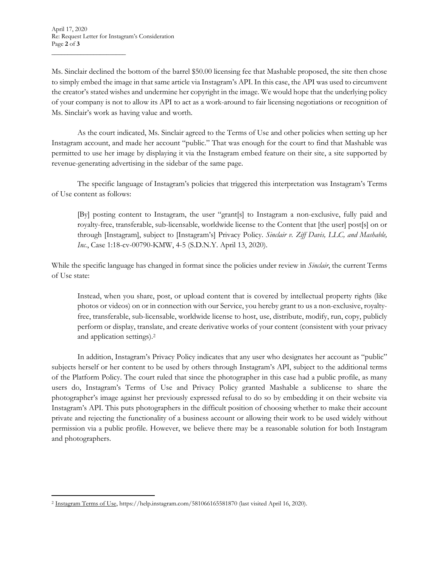$\frac{1}{2}$  ,  $\frac{1}{2}$  ,  $\frac{1}{2}$  ,  $\frac{1}{2}$  ,  $\frac{1}{2}$  ,  $\frac{1}{2}$  ,  $\frac{1}{2}$  ,  $\frac{1}{2}$  ,  $\frac{1}{2}$  ,  $\frac{1}{2}$  ,  $\frac{1}{2}$  ,  $\frac{1}{2}$  ,  $\frac{1}{2}$  ,  $\frac{1}{2}$  ,  $\frac{1}{2}$  ,  $\frac{1}{2}$  ,  $\frac{1}{2}$  ,  $\frac{1}{2}$  ,  $\frac{1$ 

Ms. Sinclair declined the bottom of the barrel \$50.00 licensing fee that Mashable proposed, the site then chose to simply embed the image in that same article via Instagram's API. In this case, the API was used to circumvent the creator's stated wishes and undermine her copyright in the image. We would hope that the underlying policy of your company is not to allow its API to act as a work-around to fair licensing negotiations or recognition of Ms. Sinclair's work as having value and worth.

As the court indicated, Ms. Sinclair agreed to the Terms of Use and other policies when setting up her Instagram account, and made her account "public." That was enough for the court to find that Mashable was permitted to use her image by displaying it via the Instagram embed feature on their site, a site supported by revenue-generating advertising in the sidebar of the same page.

The specific language of Instagram's policies that triggered this interpretation was Instagram's Terms of Use content as follows:

[By] posting content to Instagram, the user "grant[s] to Instagram a non-exclusive, fully paid and royalty-free, transferable, sub-licensable, worldwide license to the Content that [the user] post[s] on or through [Instagram], subject to [Instagram's] Privacy Policy. *Sinclair v. Ziff Davis, LLC, and Mashable, Inc.*, Case 1:18-cv-00790-KMW, 4-5 (S.D.N.Y. April 13, 2020).

While the specific language has changed in format since the policies under review in *Sinclair*, the current Terms of Use state:

Instead, when you share, post, or upload content that is covered by intellectual property rights (like photos or videos) on or in connection with our Service, you hereby grant to us a non-exclusive, royaltyfree, transferable, sub-licensable, worldwide license to host, use, distribute, modify, run, copy, publicly perform or display, translate, and create derivative works of your content (consistent with your privacy and application settings).2

In addition, Instagram's Privacy Policy indicates that any user who designates her account as "public" subjects herself or her content to be used by others through Instagram's API, subject to the additional terms of the Platform Policy. The court ruled that since the photographer in this case had a public profile, as many users do, Instagram's Terms of Use and Privacy Policy granted Mashable a sublicense to share the photographer's image against her previously expressed refusal to do so by embedding it on their website via Instagram's API. This puts photographers in the difficult position of choosing whether to make their account private and rejecting the functionality of a business account or allowing their work to be used widely without permission via a public profile. However, we believe there may be a reasonable solution for both Instagram and photographers.

<sup>2</sup> Instagram Terms of Use, https://help.instagram.com/581066165581870 (last visited April 16, 2020).